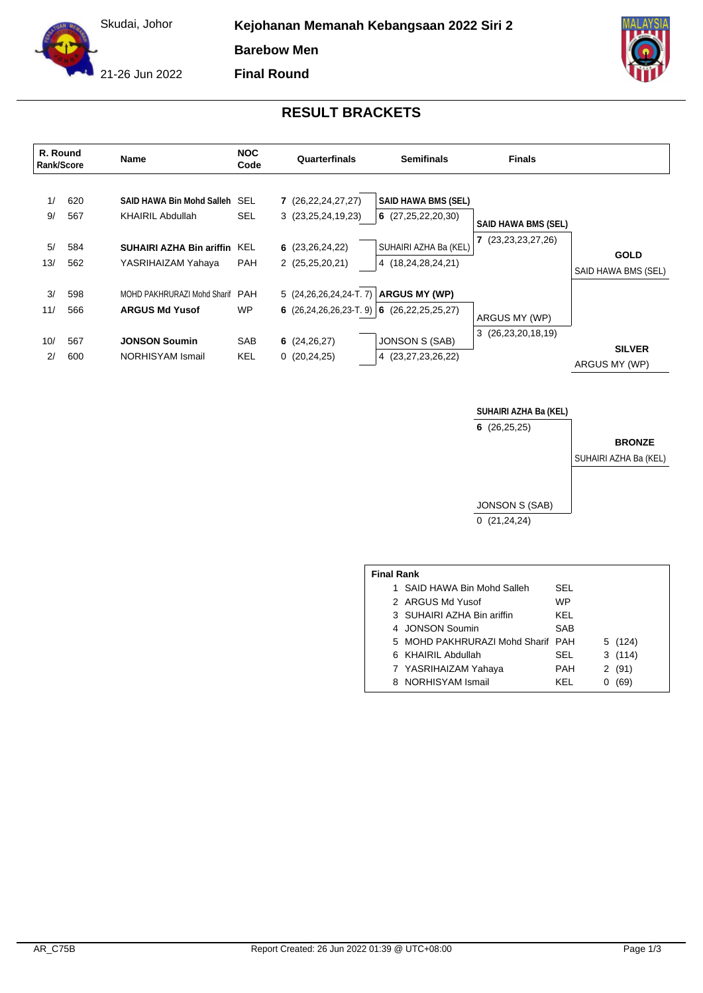

**Barebow Men**

21-26 Jun 2022 **Final Round**

## **RESULT BRACKETS**



**SUHAIRI AZHA Ba (KEL)**

**6** (26,25,25)

SUHAIRI AZHA Ba (KEL)

**BRONZE**

JONSON S (SAB)

0 (21,24,24)

| <b>Final Rank</b> |                                   |            |  |         |  |  |  |  |  |  |
|-------------------|-----------------------------------|------------|--|---------|--|--|--|--|--|--|
|                   | 1 SAID HAWA Bin Mohd Salleh       | SEL        |  |         |  |  |  |  |  |  |
|                   | 2 ARGUS Md Yusof                  | WP         |  |         |  |  |  |  |  |  |
|                   | 3 SUHAIRI AZHA Bin ariffin        | KEL        |  |         |  |  |  |  |  |  |
|                   | 4 JONSON Soumin                   | SAB        |  |         |  |  |  |  |  |  |
|                   | 5 MOHD PAKHRURAZI Mohd Sharif PAH |            |  | 5 (124) |  |  |  |  |  |  |
|                   | 6 KHAIRIL Abdullah                | SEL        |  | 3(114)  |  |  |  |  |  |  |
|                   | 7 YASRIHAIZAM Yahaya              | <b>PAH</b> |  | 2(91)   |  |  |  |  |  |  |
|                   | 8 NORHISYAM Ismail                | KFI        |  | (69)    |  |  |  |  |  |  |
|                   |                                   |            |  |         |  |  |  |  |  |  |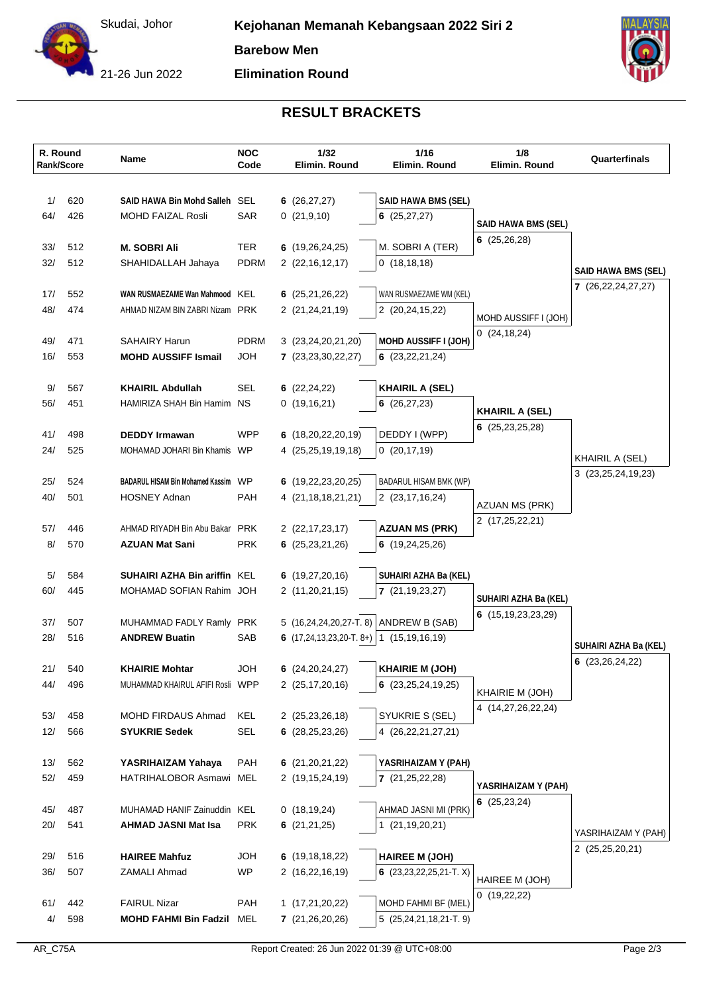

21-26 Jun 2022



## **RESULT BRACKETS**

**Elimination Round**

| R. Round<br>Rank/Score |     | Name                                      | <b>NOC</b><br>Code | 1/32<br>Elimin, Round                   | 1/16<br>Elimin. Round       | 1/8<br>Elimin. Round                  | Quarterfinals              |
|------------------------|-----|-------------------------------------------|--------------------|-----------------------------------------|-----------------------------|---------------------------------------|----------------------------|
|                        |     |                                           |                    |                                         |                             |                                       |                            |
| 1/                     | 620 | SAID HAWA Bin Mohd Salleh SEL             |                    | 6(26, 27, 27)                           | <b>SAID HAWA BMS (SEL)</b>  |                                       |                            |
| 64/                    | 426 | <b>MOHD FAIZAL Rosli</b>                  | SAR                | 0(21,9,10)                              | 6(25, 27, 27)               | <b>SAID HAWA BMS (SEL)</b>            |                            |
|                        | 512 |                                           | <b>TER</b>         |                                         | M. SOBRI A (TER)            | 6 $(25, 26, 28)$                      |                            |
| 33/<br>32/             | 512 | <b>M. SOBRI Ali</b><br>SHAHIDALLAH Jahaya | <b>PDRM</b>        | 6 $(19,26,24,25)$<br>2 (22, 16, 12, 17) | 0(18, 18, 18)               |                                       |                            |
|                        |     |                                           |                    |                                         |                             |                                       | <b>SAID HAWA BMS (SEL)</b> |
| 17/                    | 552 | WAN RUSMAEZAME Wan Mahmood KEL            |                    | 6 $(25,21,26,22)$                       | WAN RUSMAEZAME WM (KEL)     |                                       | 7(26,22,24,27,27)          |
| 48/                    | 474 | AHMAD NIZAM BIN ZABRI Nizam PRK           |                    | 2 (21,24,21,19)                         | 2 (20,24,15,22)             |                                       |                            |
|                        |     |                                           |                    |                                         |                             | MOHD AUSSIFF I (JOH)<br>0(24, 18, 24) |                            |
| 49/                    | 471 | SAHAIRY Harun                             | PDRM               | 3 (23,24,20,21,20)                      | <b>MOHD AUSSIFF I (JOH)</b> |                                       |                            |
| 16/                    | 553 | <b>MOHD AUSSIFF Ismail</b>                | JOH                | 7(23,23,30,22,27)                       | 6 $(23, 22, 21, 24)$        |                                       |                            |
| 9/                     | 567 | <b>KHAIRIL Abdullah</b>                   | SEL                | 6 $(22, 24, 22)$                        | <b>KHAIRIL A (SEL)</b>      |                                       |                            |
| 56/                    | 451 | HAMIRIZA SHAH Bin Hamim NS                |                    | 0(19,16,21)                             | 6(26,27,23)                 |                                       |                            |
|                        |     |                                           |                    |                                         |                             | <b>KHAIRIL A (SEL)</b>                |                            |
| 41/                    | 498 | <b>DEDDY Irmawan</b>                      | <b>WPP</b>         | 6(18,20,22,20,19)                       | DEDDY I (WPP)               | 6(25,23,25,28)                        |                            |
| 24/                    | 525 | MOHAMAD JOHARI Bin Khamis WP              |                    | 4 (25,25,19,19,18)                      | 0(20,17,19)                 |                                       | KHAIRIL A (SEL)            |
|                        |     |                                           |                    |                                         |                             |                                       | 3 (23, 25, 24, 19, 23)     |
| 25/                    | 524 | BADARUL HISAM Bin Mohamed Kassim WP       |                    | 6(19,22,23,20,25)                       | BADARUL HISAM BMK (WP)      |                                       |                            |
| 40/                    | 501 | <b>HOSNEY Adnan</b>                       | <b>PAH</b>         | 4 (21, 18, 18, 21, 21)                  | 2 (23,17,16,24)             | AZUAN MS (PRK)                        |                            |
| 57/                    | 446 | AHMAD RIYADH Bin Abu Bakar PRK            |                    | 2 (22, 17, 23, 17)                      | <b>AZUAN MS (PRK)</b>       | 2 (17,25,22,21)                       |                            |
| 8/                     | 570 | <b>AZUAN Mat Sani</b>                     | <b>PRK</b>         | 6(25,23,21,26)                          | 6 $(19,24,25,26)$           |                                       |                            |
|                        |     |                                           |                    |                                         |                             |                                       |                            |
| 5/                     | 584 | SUHAIRI AZHA Bin ariffin KEL              |                    | 6 $(19, 27, 20, 16)$                    | SUHAIRI AZHA Ba (KEL)       |                                       |                            |
| 60/                    | 445 | MOHAMAD SOFIAN Rahim JOH                  |                    | 2 (11,20,21,15)                         | 7(21,19,23,27)              | SUHAIRI AZHA Ba (KEL)                 |                            |
|                        |     |                                           |                    |                                         |                             | 6(15, 19, 23, 23, 29)                 |                            |
| 37/                    | 507 | MUHAMMAD FADLY Ramly PRK                  |                    | 5 (16,24,24,20,27-T. 8)                 | ANDREW B (SAB)              |                                       |                            |
| 28/                    | 516 | <b>ANDREW Buatin</b>                      | SAB                | 6 $(17,24,13,23,20$ -T. 8+)             | 1(15,19,16,19)              |                                       | SUHAIRI AZHA Ba (KEL)      |
| 21/                    | 540 | <b>KHAIRIE Mohtar</b>                     | JOH                | 6(24,20,24,27)                          | <b>KHAIRIE M (JOH)</b>      |                                       | 6(23,26,24,22)             |
| 44/                    | 496 | MUHAMMAD KHAIRUL AFIFI Rosli WPP          |                    | 2 (25,17,20,16)                         | 6(23,25,24,19,25)           |                                       |                            |
|                        |     |                                           |                    |                                         |                             | KHAIRIE M (JOH)                       |                            |
| 53/                    | 458 | MOHD FIRDAUS Ahmad                        | KEL                | 2 (25,23,26,18)                         | SYUKRIE S (SEL)             | 4 (14,27,26,22,24)                    |                            |
| 12/                    | 566 | <b>SYUKRIE Sedek</b>                      | SEL                | 6(28, 25, 23, 26)                       | 4 (26, 22, 21, 27, 21)      |                                       |                            |
|                        |     |                                           |                    |                                         |                             |                                       |                            |
| 13/                    | 562 | YASRIHAIZAM Yahaya                        | PAH                | 6(21,20,21,22)                          | YASRIHAIZAM Y (PAH)         |                                       |                            |
| 52/                    | 459 | HATRIHALOBOR Asmawi MEL                   |                    | 2 (19,15,24,19)                         | 7(21,25,22,28)              | YASRIHAIZAM Y (PAH)                   |                            |
| 45/                    | 487 | MUHAMAD HANIF Zainuddin KEL               |                    | 0(18, 19, 24)                           | AHMAD JASNI MI (PRK)        | 6(25,23,24)                           |                            |
| 20/                    | 541 | <b>AHMAD JASNI Mat Isa</b>                | <b>PRK</b>         | 6(21,21,25)                             | 1 (21,19,20,21)             |                                       |                            |
|                        |     |                                           |                    |                                         |                             |                                       | YASRIHAIZAM Y (PAH)        |
| 29/                    | 516 | <b>HAIREE Mahfuz</b>                      | <b>HOL</b>         | 6(19, 18, 18, 22)                       | <b>HAIREE M (JOH)</b>       |                                       | 2 (25,25,20,21)            |
| 36/                    | 507 | ZAMALI Ahmad                              | <b>WP</b>          | 2 (16,22,16,19)                         | 6 $(23,23,22,25,21$ -T.X)   | HAIREE M (JOH)                        |                            |
|                        |     |                                           |                    |                                         |                             | 0(19,22,22)                           |                            |
| 61/                    | 442 | <b>FAIRUL Nizar</b>                       | PAH                | 1 (17,21,20,22)                         | MOHD FAHMI BF (MEL)         |                                       |                            |
| 4/                     | 598 | <b>MOHD FAHMI Bin Fadzil MEL</b>          |                    | 7(21,26,20,26)                          | $5(25,24,21,18,21-T.9)$     |                                       |                            |